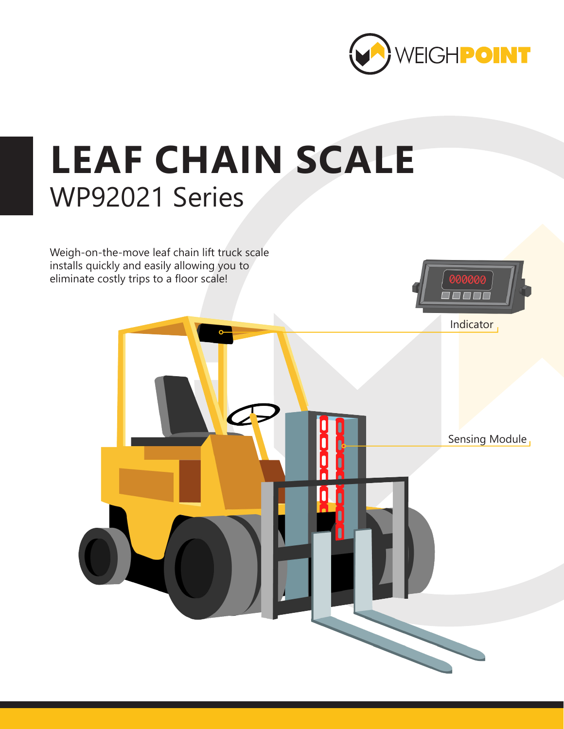

## **LEAF CHAIN SCALE** WP92021 Series

Weigh-on-the-move leaf chain lift truck scale installs quickly and easily allowing you to eliminate costly trips to a floor scale!



Indicator

Sensing Module,